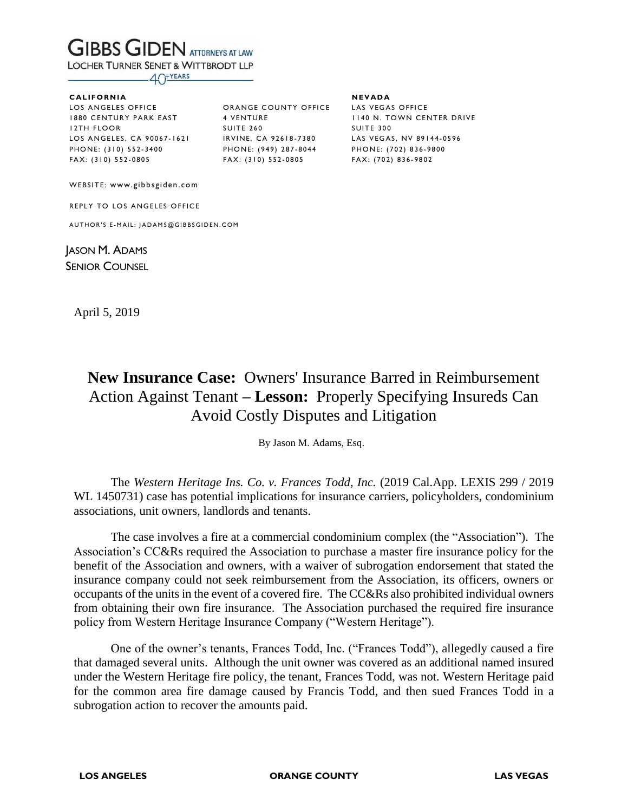# **GIBBS GIDEN ATTORNEYS AT LAW**

**LOCHER TURNER SENET & WITTBRODT LLP** 

 $-40$ <sup>+YEARS</sup>

#### **C AL I FO R NI A**

LOS ANGELES OFFICE 1880 CENTURY PARK EAST 12 TH F LO O R LOS ANGELES, CA 90067-1621 P HO N E: ( 3 10) 5 52 - 34 00 FA X: ( 31 0) 5 52 - 08 05

ORANGE COUNTY OFFICE LAS VEGAS OFFICE 4 VENTURE **SUITE 260** IRVINE, CA 92618-7380 P HO N E: ( 9 49) 2 87 - 80 44 FA X: ( 31 0) 5 52 - 08 05

**NE V AD A** 1140 N. TOWN CENTER DRIVE **SUITE 300** LAS VEGAS, NV 89144-0596 P HO N E: ( 7 02) 8 36 - 98 00 FAX: (702) 836-9802

WEBSITE: www.gibbsgiden.com

REPLY TO LOS ANGELES OFFICE

AUTHOR'S E-MAIL: JADAMS@GIBBSGIDEN.COM

JASON M. ADAMS SENIOR COUNSEL

April 5, 2019

## **New Insurance Case:** Owners' Insurance Barred in Reimbursement Action Against Tenant **– Lesson:** Properly Specifying Insureds Can Avoid Costly Disputes and Litigation

By Jason M. Adams, Esq.

The *Western Heritage Ins. Co. v. Frances Todd, Inc.* (2019 Cal.App. LEXIS 299 / 2019 WL 1450731) case has potential implications for insurance carriers, policyholders, condominium associations, unit owners, landlords and tenants.

The case involves a fire at a commercial condominium complex (the "Association"). The Association's CC&Rs required the Association to purchase a master fire insurance policy for the benefit of the Association and owners, with a waiver of subrogation endorsement that stated the insurance company could not seek reimbursement from the Association, its officers, owners or occupants of the units in the event of a covered fire. The CC&Rs also prohibited individual owners from obtaining their own fire insurance. The Association purchased the required fire insurance policy from Western Heritage Insurance Company ("Western Heritage").

One of the owner's tenants, Frances Todd, Inc. ("Frances Todd"), allegedly caused a fire that damaged several units. Although the unit owner was covered as an additional named insured under the Western Heritage fire policy, the tenant, Frances Todd, was not. Western Heritage paid for the common area fire damage caused by Francis Todd, and then sued Frances Todd in a subrogation action to recover the amounts paid.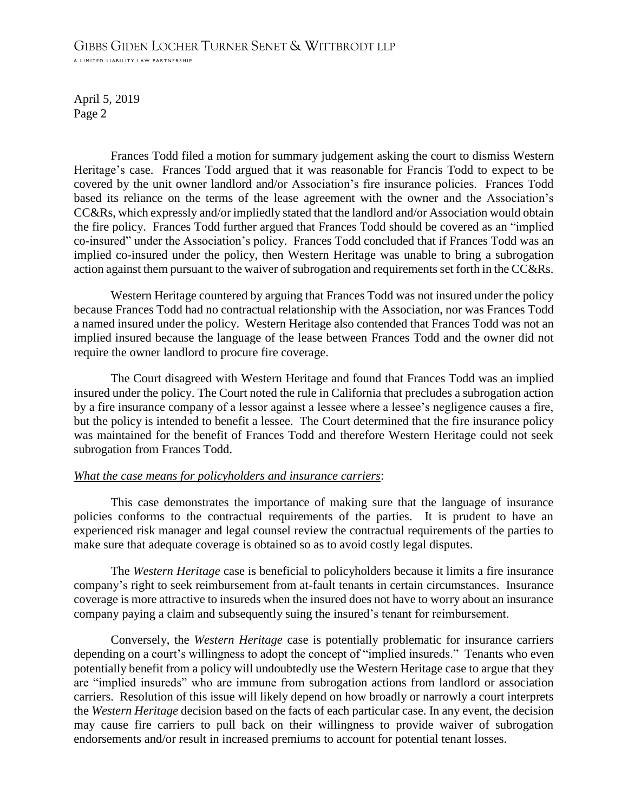### GIBBS GIDEN LOCHER TURNER SENET & WITTBRODT LLP

A LIMITED LIABILITY LAW PARTNERSHIP

April 5, 2019 Page 2

Frances Todd filed a motion for summary judgement asking the court to dismiss Western Heritage's case. Frances Todd argued that it was reasonable for Francis Todd to expect to be covered by the unit owner landlord and/or Association's fire insurance policies. Frances Todd based its reliance on the terms of the lease agreement with the owner and the Association's CC&Rs, which expressly and/or impliedly stated that the landlord and/or Association would obtain the fire policy. Frances Todd further argued that Frances Todd should be covered as an "implied co-insured" under the Association's policy. Frances Todd concluded that if Frances Todd was an implied co-insured under the policy, then Western Heritage was unable to bring a subrogation action against them pursuant to the waiver of subrogation and requirements set forth in the CC&Rs.

Western Heritage countered by arguing that Frances Todd was not insured under the policy because Frances Todd had no contractual relationship with the Association, nor was Frances Todd a named insured under the policy. Western Heritage also contended that Frances Todd was not an implied insured because the language of the lease between Frances Todd and the owner did not require the owner landlord to procure fire coverage.

The Court disagreed with Western Heritage and found that Frances Todd was an implied insured under the policy. The Court noted the rule in California that precludes a subrogation action by a fire insurance company of a lessor against a lessee where a lessee's negligence causes a fire, but the policy is intended to benefit a lessee. The Court determined that the fire insurance policy was maintained for the benefit of Frances Todd and therefore Western Heritage could not seek subrogation from Frances Todd.

#### *What the case means for policyholders and insurance carriers*:

This case demonstrates the importance of making sure that the language of insurance policies conforms to the contractual requirements of the parties. It is prudent to have an experienced risk manager and legal counsel review the contractual requirements of the parties to make sure that adequate coverage is obtained so as to avoid costly legal disputes.

The *Western Heritage* case is beneficial to policyholders because it limits a fire insurance company's right to seek reimbursement from at-fault tenants in certain circumstances. Insurance coverage is more attractive to insureds when the insured does not have to worry about an insurance company paying a claim and subsequently suing the insured's tenant for reimbursement.

Conversely, the *Western Heritage* case is potentially problematic for insurance carriers depending on a court's willingness to adopt the concept of "implied insureds." Tenants who even potentially benefit from a policy will undoubtedly use the Western Heritage case to argue that they are "implied insureds" who are immune from subrogation actions from landlord or association carriers. Resolution of this issue will likely depend on how broadly or narrowly a court interprets the *Western Heritage* decision based on the facts of each particular case. In any event, the decision may cause fire carriers to pull back on their willingness to provide waiver of subrogation endorsements and/or result in increased premiums to account for potential tenant losses.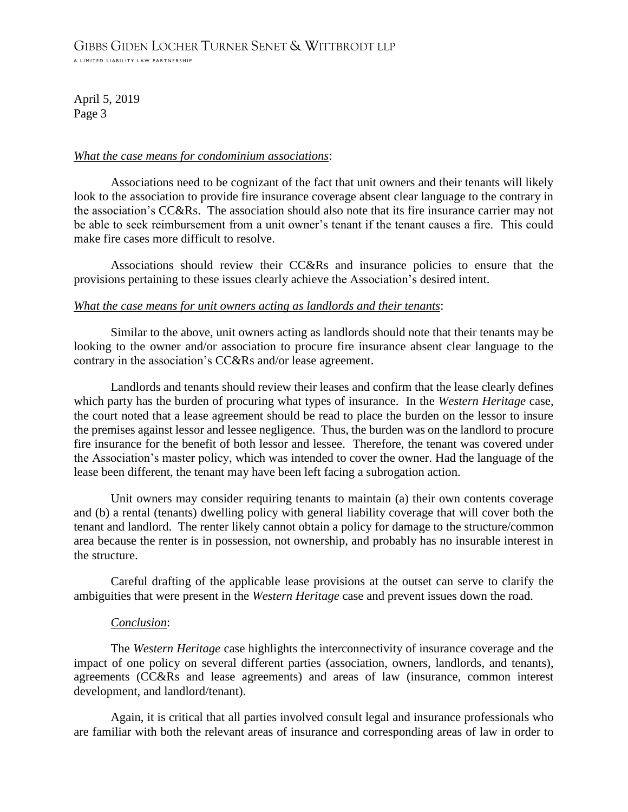A LIMITED LIABILITY LAW PARTNERSHIP

April 5, 2019 Page 3

#### *What the case means for condominium associations*:

Associations need to be cognizant of the fact that unit owners and their tenants will likely look to the association to provide fire insurance coverage absent clear language to the contrary in the association's CC&Rs. The association should also note that its fire insurance carrier may not be able to seek reimbursement from a unit owner's tenant if the tenant causes a fire. This could make fire cases more difficult to resolve.

Associations should review their CC&Rs and insurance policies to ensure that the provisions pertaining to these issues clearly achieve the Association's desired intent.

#### *What the case means for unit owners acting as landlords and their tenants*:

Similar to the above, unit owners acting as landlords should note that their tenants may be looking to the owner and/or association to procure fire insurance absent clear language to the contrary in the association's CC&Rs and/or lease agreement.

Landlords and tenants should review their leases and confirm that the lease clearly defines which party has the burden of procuring what types of insurance. In the *Western Heritage* case, the court noted that a lease agreement should be read to place the burden on the lessor to insure the premises against lessor and lessee negligence. Thus, the burden was on the landlord to procure fire insurance for the benefit of both lessor and lessee. Therefore, the tenant was covered under the Association's master policy, which was intended to cover the owner. Had the language of the lease been different, the tenant may have been left facing a subrogation action.

Unit owners may consider requiring tenants to maintain (a) their own contents coverage and (b) a rental (tenants) dwelling policy with general liability coverage that will cover both the tenant and landlord. The renter likely cannot obtain a policy for damage to the structure/common area because the renter is in possession, not ownership, and probably has no insurable interest in the structure.

Careful drafting of the applicable lease provisions at the outset can serve to clarify the ambiguities that were present in the *Western Heritage* case and prevent issues down the road.

#### *Conclusion*:

The *Western Heritage* case highlights the interconnectivity of insurance coverage and the impact of one policy on several different parties (association, owners, landlords, and tenants), agreements (CC&Rs and lease agreements) and areas of law (insurance, common interest development, and landlord/tenant).

Again, it is critical that all parties involved consult legal and insurance professionals who are familiar with both the relevant areas of insurance and corresponding areas of law in order to